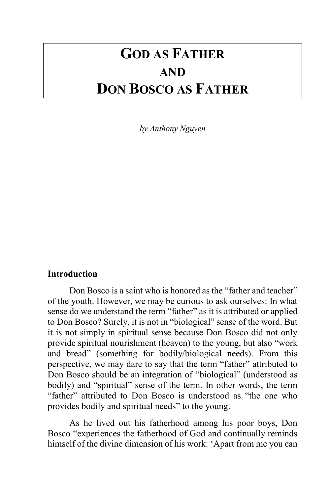# **GOD AS FATHER AND DON BOSCO AS FATHER**

*by Anthony Nguyen*

# **Introduction**

Don Bosco is a saint who is honored as the "father and teacher" of the youth. However, we may be curious to ask ourselves: In what sense do we understand the term "father" as it is attributed or applied to Don Bosco? Surely, it is not in "biological" sense of the word. But it is not simply in spiritual sense because Don Bosco did not only provide spiritual nourishment (heaven) to the young, but also "work and bread" (something for bodily/biological needs). From this perspective, we may dare to say that the term "father" attributed to Don Bosco should be an integration of "biological" (understood as bodily) and "spiritual" sense of the term. In other words, the term "father" attributed to Don Bosco is understood as "the one who provides bodily and spiritual needs" to the young.

As he lived out his fatherhood among his poor boys, Don Bosco "experiences the fatherhood of God and continually reminds himself of the divine dimension of his work: 'Apart from me you can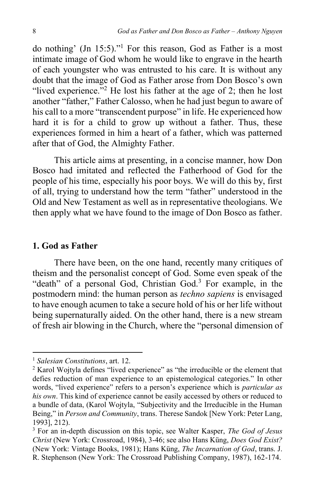do nothing' (Jn 15:5)."<sup>1</sup> For this reason, God as Father is a most intimate image of God whom he would like to engrave in the hearth of each youngster who was entrusted to his care. It is without any doubt that the image of God as Father arose from Don Bosco's own "lived experience."<sup>2</sup> He lost his father at the age of 2; then he lost another "father," Father Calosso, when he had just begun to aware of his call to a more "transcendent purpose" in life. He experienced how hard it is for a child to grow up without a father. Thus, these experiences formed in him a heart of a father, which was patterned after that of God, the Almighty Father.

This article aims at presenting, in a concise manner, how Don Bosco had imitated and reflected the Fatherhood of God for the people of his time, especially his poor boys. We will do this by, first of all, trying to understand how the term "father" understood in the Old and New Testament as well as in representative theologians. We then apply what we have found to the image of Don Bosco as father.

#### **1. God as Father**

There have been, on the one hand, recently many critiques of theism and the personalist concept of God. Some even speak of the "death" of a personal God, Christian God. $3$  For example, in the postmodern mind: the human person as *techno sapiens* is envisaged to have enough acumen to take a secure hold of his or her life without being supernaturally aided. On the other hand, there is a new stream of fresh air blowing in the Church, where the "personal dimension of

<sup>1</sup> *Salesian Constitutions*, art. 12.

<sup>2</sup> Karol Wojtyla defines "lived experience" as "the irreducible or the element that defies reduction of man experience to an epistemological categories." In other words, "lived experience" refers to a person's experience which is *particular as his own*. This kind of experience cannot be easily accessed by others or reduced to a bundle of data, (Karol Wojtyla, "Subjectivity and the Irreducible in the Human Being," in *Person and Community*, trans. Therese Sandok [New York: Peter Lang, 1993], 212).

<sup>3</sup> For an in-depth discussion on this topic, see Walter Kasper, *The God of Jesus Christ* (New York: Crossroad, 1984), 3-46; see also Hans Küng, *Does God Exist?* (New York: Vintage Books, 1981); Hans Küng, *The Incarnation of God*, trans. J. R. Stephenson (New York: The Crossroad Publishing Company, 1987), 162-174.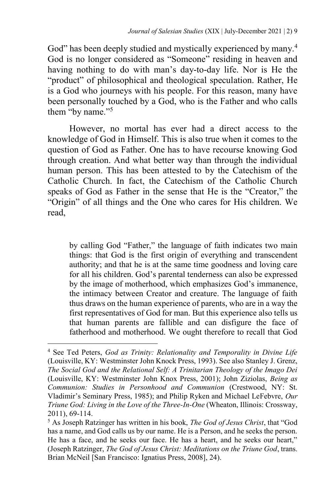God" has been deeply studied and mystically experienced by many.<sup>4</sup> God is no longer considered as "Someone" residing in heaven and having nothing to do with man's day-to-day life. Nor is He the "product" of philosophical and theological speculation. Rather, He is a God who journeys with his people. For this reason, many have been personally touched by a God, who is the Father and who calls them "by name."<sup>5</sup>

However, no mortal has ever had a direct access to the knowledge of God in Himself. This is also true when it comes to the question of God as Father. One has to have recourse knowing God through creation. And what better way than through the individual human person. This has been attested to by the Catechism of the Catholic Church. In fact, the Catechism of the Catholic Church speaks of God as Father in the sense that He is the "Creator," the "Origin" of all things and the One who cares for His children. We read,

by calling God "Father," the language of faith indicates two main things: that God is the first origin of everything and transcendent authority; and that he is at the same time goodness and loving care for all his children. God's parental tenderness can also be expressed by the image of motherhood, which emphasizes God's immanence, the intimacy between Creator and creature. The language of faith thus draws on the human experience of parents, who are in a way the first representatives of God for man. But this experience also tells us that human parents are fallible and can disfigure the face of fatherhood and motherhood. We ought therefore to recall that God

<sup>4</sup> See Ted Peters, *God as Trinity: Relationality and Temporality in Divine Life* (Louisville, KY: Westminster John Knock Press, 1993). See also Stanley J. Grenz, *The Social God and the Relational Self: A Trinitarian Theology of the Imago Dei* (Louisville, KY: Westminster John Knox Press, 2001); John Ziziolas, *Being as Communion: Studies in Personhood and Communion* (Crestwood, NY: St. Vladimir's Seminary Press, 1985); and Philip Ryken and Michael LeFebvre, *Our Triune God: Living in the Love of the Three-In-One* (Wheaton, Illinois: Crossway, 2011), 69-114.

<sup>5</sup> As Joseph Ratzinger has written in his book, *The God of Jesus Christ*, that "God has a name, and God calls us by our name. He is a Person, and he seeks the person. He has a face, and he seeks our face. He has a heart, and he seeks our heart," (Joseph Ratzinger, *The God of Jesus Christ: Meditations on the Triune God*, trans. Brian McNeil [San Francisco: Ignatius Press, 2008], 24).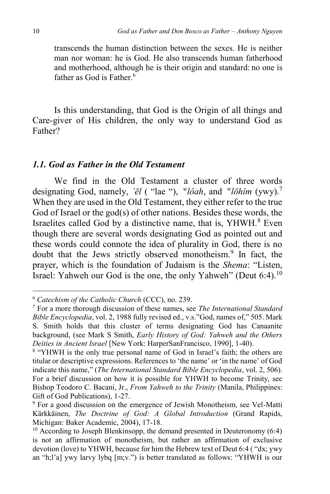transcends the human distinction between the sexes. He is neither man nor woman: he is God. He also transcends human fatherhood and motherhood, although he is their origin and standard: no one is father as God is Father.<sup>6</sup>

Is this understanding, that God is the Origin of all things and Care-giver of His children, the only way to understand God as Father?

## *1.1. God as Father in the Old Testament*

We find in the Old Testament a cluster of three words designating God, namely, *'ēl* ( "lae "), *' e lôah*, and *' e lōhîm* (ywy). 7 When they are used in the Old Testament, they either refer to the true God of Israel or the god(s) of other nations. Besides these words, the Israelites called God by a distinctive name, that is, YHWH.<sup>8</sup> Even though there are several words designating God as pointed out and these words could connote the idea of plurality in God, there is no doubt that the Jews strictly observed monotheism.<sup>9</sup> In fact, the prayer, which is the foundation of Judaism is the *Shema*: "Listen, Israel: Yahweh our God is the one, the only Yahweh" (Deut 6:4).<sup>10</sup>

<sup>6</sup> *Catechism of the Catholic Church* (CCC), no. 239.

<sup>7</sup> For a more thorough discussion of these names, see *The International Standard Bible Encyclopedia*, vol. 2, 1988 fully revised ed., v.s."God, names of," 505. Mark S. Smith holds that this cluster of terms designating God has Canaanite background, (see Mark S Smith, *Early History of God: Yahweh and the Others Deities in Ancient Israel* [New York: HarperSanFrancisco, 1990], 1-40).

<sup>&</sup>lt;sup>8</sup> "YHWH is the only true personal name of God in Israel's faith; the others are titular or descriptive expressions. References to 'the name' or 'in the name' of God indicate this name," (*The International Standard Bible Encyclopedia*, vol. 2, 506). For a brief discussion on how it is possible for YHWH to become Trinity, see Bishop Teodoro C. Bacani, Jr., *From Yahweh to the Trinity* (Manila, Philippines: Gift of God Publications), 1-27.

<sup>&</sup>lt;sup>9</sup> For a good discussion on the emergence of Jewish Monotheism, see Vel-Matti Kärkkäinen, *The Doctrine of God: A Global Introduction* (Grand Rapids, Michigan: Baker Academic, 2004), 17-18.

<sup>&</sup>lt;sup>10</sup> According to Joseph Blenkinsopp, the demand presented in Deuteronomy  $(6:4)$ is not an affirmation of monotheism, but rather an affirmation of exclusive devotion (love) to YHWH, because for him the Hebrew text of Deut 6:4 ( "dx; ywy an "h;l'a] ywy larvy lybq [m;v.") is better translated as follows: "YHWH is our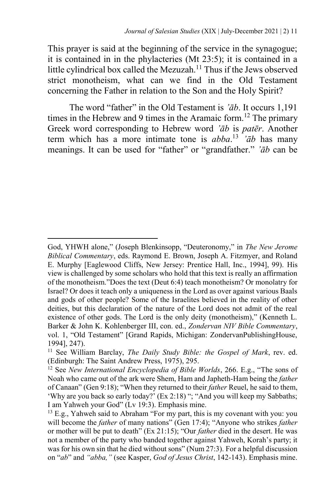This prayer is said at the beginning of the service in the synagogue; it is contained in in the phylacteries (Mt 23:5); it is contained in a little cylindrical box called the Mezuzah.<sup>11</sup> Thus if the Jews observed strict monotheism, what can we find in the Old Testament concerning the Father in relation to the Son and the Holy Spirit?

The word "father" in the Old Testament is *'āb*. It occurs 1,191 times in the Hebrew and 9 times in the Aramaic form.<sup>12</sup> The primary Greek word corresponding to Hebrew word *'āb* is *patēr*. Another term which has a more intimate tone is *abba*. <sup>13</sup> *'āb* has many meanings. It can be used for "father" or "grandfather." *'āb* can be

God, YHWH alone," (Joseph Blenkinsopp, "Deuteronomy," in *The New Jerome Biblical Commentary*, eds. Raymond E. Brown, Joseph A. Fitzmyer, and Roland E. Murphy [Eaglewood Cliffs, New Jersey: Prentice Hall, Inc., 1994], 99). His view is challenged by some scholars who hold that this text is really an affirmation of the monotheism."Does the text (Deut 6:4) teach monotheism? Or monolatry for Israel? Or does it teach only a uniqueness in the Lord as over against various Baals and gods of other people? Some of the Israelites believed in the reality of other deities, but this declaration of the nature of the Lord does not admit of the real existence of other gods. The Lord is the only deity (monotheism)," (Kenneth L. Barker & John K. Kohlenberger III, con. ed., *Zondervan NIV Bible Commentary*, vol. 1, "Old Testament" [Grand Rapids, Michigan: ZondervanPublishingHouse, 1994], 247).

<sup>11</sup> See William Barclay, *The Daily Study Bible: the Gospel of Mark*, rev. ed. (Edinburgh: The Saint Andrew Press, 1975), 295.

<sup>12</sup> See *New International Encyclopedia of Bible Worlds*, 266. E.g., "The sons of Noah who came out of the ark were Shem, Ham and Japheth-Ham being the *father* of Canaan" (Gen 9:18); "When they returned to their *father* Reuel, he said to them, 'Why are you back so early today?' (Ex 2:18) "; "And you will keep my Sabbaths; I am Yahweh your God" (Lv 19:3). Emphasis mine.

 $13$  E.g., Yahweh said to Abraham "For my part, this is my covenant with you: you will become the *father* of many nations" (Gen 17:4); "Anyone who strikes *father* or mother will be put to death" (Ex 21:15); "Our *father* died in the desert. He was not a member of the party who banded together against Yahweh, Korah's party; it was for his own sin that he died without sons" (Num 27:3). For a helpful discussion on "*ab*" and *"abba,"* (see Kasper, *God of Jesus Christ*, 142-143). Emphasis mine.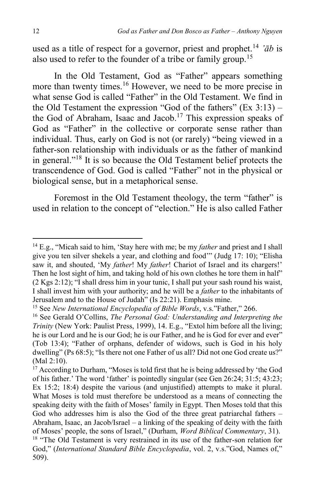used as a title of respect for a governor, priest and prophet.<sup>14</sup>  $\partial^2 b$  is also used to refer to the founder of a tribe or family group.<sup>15</sup>

In the Old Testament, God as "Father" appears something more than twenty times.<sup>16</sup> However, we need to be more precise in what sense God is called "Father" in the Old Testament. We find in the Old Testament the expression "God of the fathers"  $(Ex 3:13)$  – the God of Abraham, Isaac and Jacob.<sup>17</sup> This expression speaks of God as "Father" in the collective or corporate sense rather than individual. Thus, early on God is not (or rarely) "being viewed in a father-son relationship with individuals or as the father of mankind in general."<sup>18</sup> It is so because the Old Testament belief protects the transcendence of God. God is called "Father" not in the physical or biological sense, but in a metaphorical sense.

Foremost in the Old Testament theology, the term "father" is used in relation to the concept of "election." He is also called Father

<sup>&</sup>lt;sup>14</sup> E.g., "Micah said to him, 'Stay here with me; be my *father* and priest and I shall give you ten silver shekels a year, and clothing and food'" (Judg 17: 10); "Elisha saw it, and shouted, 'My *father*! My *father*! Chariot of Israel and its chargers!' Then he lost sight of him, and taking hold of his own clothes he tore them in half" (2 Kgs 2:12); "I shall dress him in your tunic, I shall put your sash round his waist, I shall invest him with your authority; and he will be a *father* to the inhabitants of Jerusalem and to the House of Judah" (Is 22:21). Emphasis mine.

<sup>15</sup> See *New International Encyclopedia of Bible Words*, v.s."Father," 266.

<sup>16</sup> See Gerald O'Collins, *The Personal God: Understanding and Interpreting the Trinity* (New York: Paulist Press, 1999), 14. E.g., "Extol him before all the living; he is our Lord and he is our God; he is our Father, and he is God for ever and ever" (Tob 13:4); "Father of orphans, defender of widows, such is God in his holy dwelling" (Ps 68:5); "Is there not one Father of us all? Did not one God create us?" (Mal 2:10).

<sup>&</sup>lt;sup>17</sup> According to Durham, "Moses is told first that he is being addressed by 'the God of his father.' The word 'father' is pointedly singular (see Gen 26:24; 31:5; 43:23; Ex 15:2; 18:4) despite the various (and unjustified) attempts to make it plural. What Moses is told must therefore be understood as a means of connecting the speaking deity with the faith of Moses' family in Egypt. Then Moses told that this God who addresses him is also the God of the three great patriarchal fathers – Abraham, Isaac, an Jacob/Israel – a linking of the speaking of deity with the faith of Moses' people, the sons of Israel," (Durham, *Word Biblical Commentary*, 31). <sup>18</sup> "The Old Testament is very restrained in its use of the father-son relation for God," (*International Standard Bible Encyclopedia*, vol. 2, v.s."God, Names of," 509).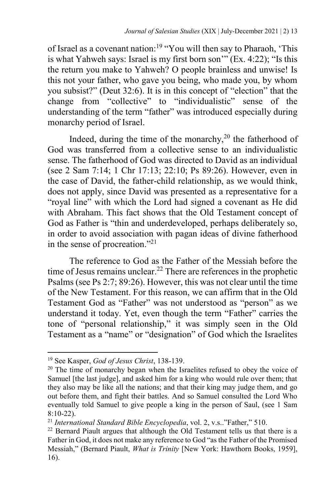of Israel as a covenant nation:<sup>19</sup> "You will then say to Pharaoh, 'This is what Yahweh says: Israel is my first born son'" (Ex. 4:22); "Is this the return you make to Yahweh? O people brainless and unwise! Is this not your father, who gave you being, who made you, by whom you subsist?" (Deut 32:6). It is in this concept of "election" that the change from "collective" to "individualistic" sense of the understanding of the term "father" was introduced especially during monarchy period of Israel.

Indeed, during the time of the monarchy,<sup>20</sup> the fatherhood of God was transferred from a collective sense to an individualistic sense. The fatherhood of God was directed to David as an individual (see 2 Sam 7:14; 1 Chr 17:13; 22:10; Ps 89:26). However, even in the case of David, the father-child relationship, as we would think, does not apply, since David was presented as a representative for a "royal line" with which the Lord had signed a covenant as He did with Abraham. This fact shows that the Old Testament concept of God as Father is "thin and underdeveloped, perhaps deliberately so, in order to avoid association with pagan ideas of divine fatherhood in the sense of procreation."<sup>21</sup>

The reference to God as the Father of the Messiah before the time of Jesus remains unclear.<sup>22</sup> There are references in the prophetic Psalms (see Ps 2:7; 89:26). However, this was not clear until the time of the New Testament. For this reason, we can affirm that in the Old Testament God as "Father" was not understood as "person" as we understand it today. Yet, even though the term "Father" carries the tone of "personal relationship," it was simply seen in the Old Testament as a "name" or "designation" of God which the Israelites

<sup>19</sup> See Kasper, *God of Jesus Christ*, 138-139.

 $20$  The time of monarchy began when the Israelites refused to obey the voice of Samuel [the last judge], and asked him for a king who would rule over them; that they also may be like all the nations; and that their king may judge them, and go out before them, and fight their battles. And so Samuel consulted the Lord Who eventually told Samuel to give people a king in the person of Saul, (see 1 Sam 8:10-22).

<sup>21</sup> *International Standard Bible Encyclopedia*, vol. 2, v.s.."Father," 510.

 $22$  Bernard Piault argues that although the Old Testament tells us that there is a Father in God, it does not make any reference to God "as the Father of the Promised Messiah," (Bernard Piault, *What is Trinity* [New York: Hawthorn Books, 1959], 16).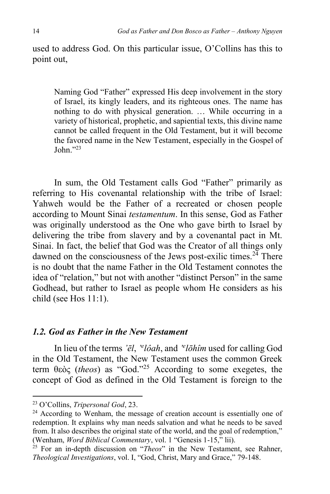used to address God. On this particular issue, O'Collins has this to point out,

Naming God "Father" expressed His deep involvement in the story of Israel, its kingly leaders, and its righteous ones. The name has nothing to do with physical generation. … While occurring in a variety of historical, prophetic, and sapiential texts, this divine name cannot be called frequent in the Old Testament, but it will become the favored name in the New Testament, especially in the Gospel of John $\cdot$ <sup>23</sup>

In sum, the Old Testament calls God "Father" primarily as referring to His covenantal relationship with the tribe of Israel: Yahweh would be the Father of a recreated or chosen people according to Mount Sinai *testamentum*. In this sense, God as Father was originally understood as the One who gave birth to Israel by delivering the tribe from slavery and by a covenantal pact in Mt. Sinai. In fact, the belief that God was the Creator of all things only dawned on the consciousness of the Jews post-exilic times.<sup>24</sup> There is no doubt that the name Father in the Old Testament connotes the idea of "relation," but not with another "distinct Person" in the same Godhead, but rather to Israel as people whom He considers as his child (see Hos 11:1).

## *1.2. God as Father in the New Testament*

In lieu of the terms *'ēl*, *' e lôah*, and *' e lōhîm* used for calling God in the Old Testament, the New Testament uses the common Greek term θεòς (*theos*) as "God."<sup>25</sup> According to some exegetes, the concept of God as defined in the Old Testament is foreign to the

<sup>23</sup> O'Collins, *Tripersonal God*, 23.

<sup>&</sup>lt;sup>24</sup> According to Wenham, the message of creation account is essentially one of redemption. It explains why man needs salvation and what he needs to be saved from. It also describes the original state of the world, and the goal of redemption," (Wenham, *Word Biblical Commentary*, vol. 1 "Genesis 1-15," lii).

<sup>&</sup>lt;sup>25</sup> For an in-depth discussion on "*Theos*" in the New Testament, see Rahner, *Theological Investigations*, vol. I, "God, Christ, Mary and Grace," 79-148.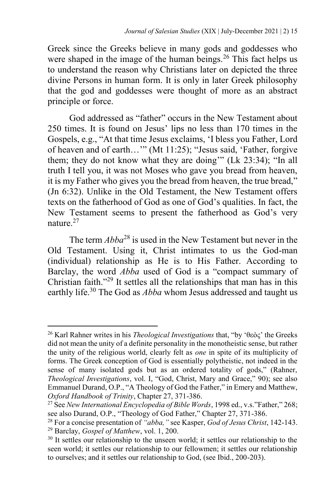Greek since the Greeks believe in many gods and goddesses who were shaped in the image of the human beings.<sup>26</sup> This fact helps us to understand the reason why Christians later on depicted the three divine Persons in human form. It is only in later Greek philosophy that the god and goddesses were thought of more as an abstract principle or force.

God addressed as "father" occurs in the New Testament about 250 times. It is found on Jesus' lips no less than 170 times in the Gospels, e.g., "At that time Jesus exclaims, 'I bless you Father, Lord of heaven and of earth…'" (Mt 11:25); "Jesus said, 'Father, forgive them; they do not know what they are doing'" (Lk 23:34); "In all truth I tell you, it was not Moses who gave you bread from heaven, it is my Father who gives you the bread from heaven, the true bread," (Jn 6:32). Unlike in the Old Testament, the New Testament offers texts on the fatherhood of God as one of God's qualities. In fact, the New Testament seems to present the fatherhood as God's very nature.<sup>27</sup>

The term *Abba*<sup>28</sup> is used in the New Testament but never in the Old Testament. Using it, Christ intimates to us the God-man (individual) relationship as He is to His Father. According to Barclay, the word *Abba* used of God is a "compact summary of Christian faith."<sup>29</sup> It settles all the relationships that man has in this earthly life.<sup>30</sup> The God as *Abba* whom Jesus addressed and taught us

<sup>26</sup> Karl Rahner writes in his *Theological Investigations* that, "by 'θεòς' the Greeks did not mean the unity of a definite personality in the monotheistic sense, but rather the unity of the religious world, clearly felt as *one* in spite of its multiplicity of forms. The Greek conception of God is essentially polytheistic, not indeed in the sense of many isolated gods but as an ordered totality of gods," (Rahner, *Theological Investigations*, vol. I, "God, Christ, Mary and Grace," 90); see also Emmanuel Durand, O.P., "A Theology of God the Father," in Emery and Matthew, *Oxford Handbook of Trinity*, Chapter 27, 371-386.

<sup>27</sup> See *New International Encyclopedia of Bible Words*, 1998 ed., v.s."Father," 268; see also Durand, O.P., "Theology of God Father," Chapter 27, 371-386.

<sup>28</sup> For a concise presentation of *"abba,"* see Kasper, *God of Jesus Christ*, 142-143. <sup>29</sup> Barclay, *Gospel of Matthew*, vol. 1, 200.

 $30$  It settles our relationship to the unseen world; it settles our relationship to the seen world; it settles our relationship to our fellowmen; it settles our relationship to ourselves; and it settles our relationship to God, (see Ibid., 200-203).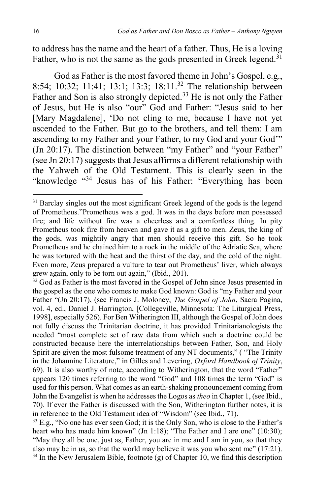to address has the name and the heart of a father. Thus, He is a loving Father, who is not the same as the gods presented in Greek legend.<sup>31</sup>

God as Father is the most favored theme in John's Gospel, e.g., 8:54; 10:32; 11:41; 13:1; 13:3; 18:11.<sup>32</sup> The relationship between Father and Son is also strongly depicted.<sup>33</sup> He is not only the Father of Jesus, but He is also "our" God and Father: "Jesus said to her [Mary Magdalene], 'Do not cling to me, because I have not yet ascended to the Father. But go to the brothers, and tell them: I am ascending to my Father and your Father, to my God and your God'" (Jn 20:17). The distinction between "my Father" and "your Father" (see Jn 20:17) suggests that Jesus affirms a different relationship with the Yahweh of the Old Testament. This is clearly seen in the "knowledge "<sup>34</sup> Jesus has of his Father: "Everything has been

<sup>&</sup>lt;sup>31</sup> Barclay singles out the most significant Greek legend of the gods is the legend of Prometheus."Prometheus was a god. It was in the days before men possessed fire; and life without fire was a cheerless and a comfortless thing. In pity Prometheus took fire from heaven and gave it as a gift to men. Zeus, the king of the gods, was mightily angry that men should receive this gift. So he took Prometheus and he chained him to a rock in the middle of the Adriatic Sea, where he was tortured with the heat and the thirst of the day, and the cold of the night. Even more, Zeus prepared a vulture to tear out Prometheus' liver, which always grew again, only to be torn out again," (Ibid., 201).

<sup>&</sup>lt;sup>32</sup> God as Father is the most favored in the Gospel of John since Jesus presented in the gospel as the one who comes to make God known: God is "my Father and your Father "(Jn 20:17), (see Francis J. Moloney, *The Gospel of John*, Sacra Pagina, vol. 4, ed., Daniel J. Harrington, [Collegeville, Minnesota: The Liturgical Press, 1998], especially 526). For Ben Witherington III, although the Gospel of John does not fully discuss the Trinitarian doctrine, it has provided Trinitarianologists the needed "most complete set of raw data from which such a doctrine could be constructed because here the interrelationships between Father, Son, and Holy Spirit are given the most fulsome treatment of any NT documents," ( "The Trinity in the Johannine Literature," in Gilles and Levering, *Oxford Handbook of Trinity*, 69). It is also worthy of note, according to Witherington, that the word "Father" appears 120 times referring to the word "God" and 108 times the term "God" is used for this person. What comes as an earth-shaking pronouncement coming from John the Evangelist is when he addresses the Logos as *theo* in Chapter 1, (see Ibid., 70). If ever the Father is discussed with the Son, Witherington further notes, it is in reference to the Old Testament idea of "Wisdom" (see Ibid., 71).

 $33$  E.g., "No one has ever seen God; it is the Only Son, who is close to the Father's heart who has made him known" (Jn 1:18); "The Father and I are one" (10:30); "May they all be one, just as, Father, you are in me and I am in you, so that they also may be in us, so that the world may believe it was you who sent me" (17:21).  $34$  In the New Jerusalem Bible, footnote (g) of Chapter 10, we find this description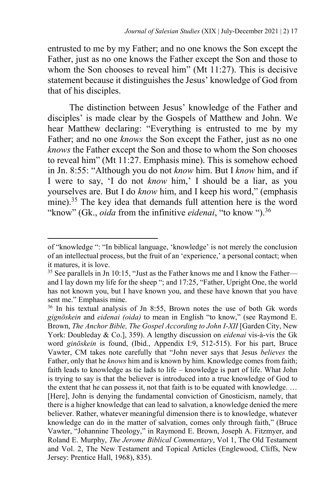entrusted to me by my Father; and no one knows the Son except the Father, just as no one knows the Father except the Son and those to whom the Son chooses to reveal him" (Mt 11:27). This is decisive statement because it distinguishes the Jesus' knowledge of God from that of his disciples.

The distinction between Jesus' knowledge of the Father and disciples' is made clear by the Gospels of Matthew and John. We hear Matthew declaring: "Everything is entrusted to me by my Father; and no one *knows* the Son except the Father, just as no one *knows* the Father except the Son and those to whom the Son chooses to reveal him" (Mt 11:27. Emphasis mine). This is somehow echoed in Jn. 8:55: "Although you do not *know* him. But I *know* him, and if I were to say, 'I do not *know* him,' I should be a liar, as you yourselves are. But I do *know* him, and I keep his word," (emphasis mine).<sup>35</sup> The key idea that demands full attention here is the word "know" (Gk., *oida* from the infinitive *eidenai*, "to know ").<sup>36</sup>

of "knowledge ": "In biblical language, 'knowledge' is not merely the conclusion of an intellectual process, but the fruit of an 'experience,' a personal contact; when it matures, it is love.

<sup>&</sup>lt;sup>35</sup> See parallels in Jn 10:15, "Just as the Father knows me and I know the Father and I lay down my life for the sheep "; and 17:25, "Father, Upright One, the world has not known you, but I have known you, and these have known that you have sent me." Emphasis mine.

<sup>36</sup> In his textual analysis of Jn 8:55, Brown notes the use of both Gk words *gignōskein* and *eidenai (oida)* to mean in English "to know," (see Raymond E. Brown, *The Anchor Bible, The Gospel According to John I-XII* [Garden City, New York: Doubleday & Co.], 359). A lengthy discussion on *eidenai* vis-à-vis the Gk word *ginōskein* is found, (Ibid., Appendix I:9, 512-515). For his part, Bruce Vawter, CM takes note carefully that "John never says that Jesus *believes* the Father, only that he *knows* him and is known by him. Knowledge comes from faith; faith leads to knowledge as tie lads to life – knowledge is part of life. What John is trying to say is that the believer is introduced into a true knowledge of God to the extent that he can possess it, not that faith is to be equated with knowledge. … [Here], John is denying the fundamental conviction of Gnosticism, namely, that there is a higher knowledge that can lead to salvation, a knowledge denied the mere believer. Rather, whatever meaningful dimension there is to knowledge, whatever knowledge can do in the matter of salvation, comes only through faith," (Bruce Vawter, "Johannine Theology," in Raymond E. Brown, Joseph A. Fitzmyer, and Roland E. Murphy, *The Jerome Biblical Commentary*, Vol 1, The Old Testament and Vol. 2, The New Testament and Topical Articles (Englewood, Cliffs, New Jersey: Prentice Hall, 1968), 835).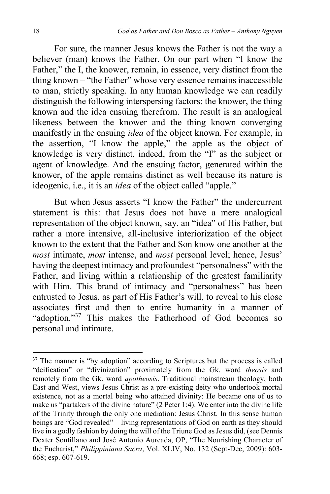For sure, the manner Jesus knows the Father is not the way a believer (man) knows the Father. On our part when "I know the Father," the I, the knower, remain, in essence, very distinct from the thing known – "the Father" whose very essence remains inaccessible to man, strictly speaking. In any human knowledge we can readily distinguish the following interspersing factors: the knower, the thing known and the idea ensuing therefrom. The result is an analogical likeness between the knower and the thing known converging manifestly in the ensuing *idea* of the object known. For example, in the assertion, "I know the apple," the apple as the object of knowledge is very distinct, indeed, from the "I" as the subject or agent of knowledge. And the ensuing factor, generated within the knower, of the apple remains distinct as well because its nature is ideogenic, i.e., it is an *idea* of the object called "apple."

But when Jesus asserts "I know the Father" the undercurrent statement is this: that Jesus does not have a mere analogical representation of the object known, say, an "idea" of His Father, but rather a more intensive, all-inclusive interiorization of the object known to the extent that the Father and Son know one another at the *most* intimate, *most* intense, and *most* personal level; hence, Jesus' having the deepest intimacy and profoundest "personalness" with the Father, and living within a relationship of the greatest familiarity with Him. This brand of intimacy and "personalness" has been entrusted to Jesus, as part of His Father's will, to reveal to his close associates first and then to entire humanity in a manner of "adoption."<sup>37</sup> This makes the Fatherhood of God becomes so personal and intimate.

<sup>&</sup>lt;sup>37</sup> The manner is "by adoption" according to Scriptures but the process is called "deification" or "divinization" proximately from the Gk. word *theosis* and remotely from the Gk. word *apotheosis*. Traditional mainstream theology, both East and West, views Jesus Christ as a pre-existing deity who undertook mortal existence, not as a mortal being who attained divinity: He became one of us to make us "partakers of the divine nature" (2 Peter 1:4). We enter into the divine life of the Trinity through the only one mediation: Jesus Christ. In this sense human beings are "God revealed" – living representations of God on earth as they should live in a godly fashion by doing the will of the Triune God as Jesus did, (see Dennis Dexter Sontillano and José Antonio Aureada, OP, "The Nourishing Character of the Eucharist," *Philippiniana Sacra*, Vol. XLIV, No. 132 (Sept-Dec, 2009): 603- 668; esp. 607-619.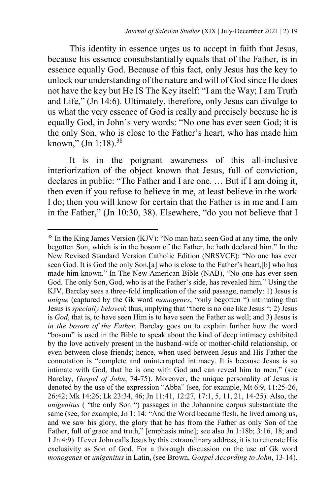This identity in essence urges us to accept in faith that Jesus, because his essence consubstantially equals that of the Father, is in essence equally God. Because of this fact, only Jesus has the key to unlock our understanding of the nature and will of God since He does not have the key but He IS The Key itself: "I am the Way; I am Truth and Life," (Jn 14:6). Ultimately, therefore, only Jesus can divulge to us what the very essence of God is really and precisely because he is equally God, in John's very words: "No one has ever seen God; it is the only Son, who is close to the Father's heart, who has made him known," (Jn 1:18). $38$ 

It is in the poignant awareness of this all-inclusive interiorization of the object known that Jesus, full of conviction, declares in public: "The Father and I are one. … But if I am doing it, then even if you refuse to believe in me, at least believe in the work I do; then you will know for certain that the Father is in me and I am in the Father," (Jn 10:30, 38). Elsewhere, "do you not believe that I

<sup>38</sup> In the King James Version (KJV): "No man hath seen God at any time, the only begotten Son, which is in the bosom of the Father, he hath declared him." In the New Revised Standard Version Catholic Edition (NRSVCE): "No one has ever seen God. It is God the only Son,[a] who is close to the Father's heart,[b] who has made him known." In The New American Bible (NAB), "No one has ever seen God. The only Son, God, who is at the Father's side, has revealed him." Using the KJV, Barclay sees a three-fold implication of the said passage, namely: 1) Jesus is *unique* (captured by the Gk word *monogenes*, "only begotten ") intimating that Jesus is *specially beloved*; thus, implying that "there is no one like Jesus "; 2) Jesus is *God*, that is, to have seen Him is to have seen the Father as well; and 3) Jesus is *in the bosom of the Father*. Barclay goes on to explain further how the word "bosom" is used in the Bible to speak about the kind of deep intimacy exhibited by the love actively present in the husband-wife or mother-child relationship, or even between close friends; hence, when used between Jesus and His Father the connotation is "complete and uninterrupted intimacy. It is because Jesus is so intimate with God, that he is one with God and can reveal him to men," (see Barclay, *Gospel of John*, 74-75). Moreover, the unique personality of Jesus is denoted by the use of the expression "Abba" (see, for example, Mt 6:9, 11:25-26, 26:42; Mk 14:26; Lk 23:34, 46; Jn 11:41, 12:27, 17:1, 5, 11, 21, 14-25). Also, the *unigenitus* ( "the only Son ") passages in the Johannine corpus substantiate the same (see, for example, Jn 1: 14: "And the Word became flesh, he lived among us, and we saw his glory, the glory that he has from the Father as only Son of the Father, full of grace and truth," [emphasis mine]; see also Jn 1:18b; 3:16, 18; and 1 Jn 4:9). If ever John calls Jesus by this extraordinary address, it is to reiterate His exclusivity as Son of God. For a thorough discussion on the use of Gk word *monogenes* or *unigenitus* in Latin, (see Brown, *Gospel According to John*, 13-14).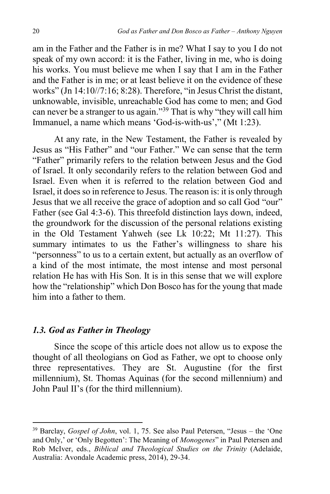am in the Father and the Father is in me? What I say to you I do not speak of my own accord: it is the Father, living in me, who is doing his works. You must believe me when I say that I am in the Father and the Father is in me; or at least believe it on the evidence of these works" (Jn 14:10//7:16; 8:28). Therefore, "in Jesus Christ the distant, unknowable, invisible, unreachable God has come to men; and God can never be a stranger to us again."<sup>39</sup> That is why "they will call him Immanuel, a name which means 'God-is-with-us'," (Mt 1:23).

At any rate, in the New Testament, the Father is revealed by Jesus as "His Father" and "our Father." We can sense that the term "Father" primarily refers to the relation between Jesus and the God of Israel. It only secondarily refers to the relation between God and Israel. Even when it is referred to the relation between God and Israel, it does so in reference to Jesus. The reason is: it is only through Jesus that we all receive the grace of adoption and so call God "our" Father (see Gal 4:3-6). This threefold distinction lays down, indeed, the groundwork for the discussion of the personal relations existing in the Old Testament Yahweh (see Lk 10:22; Mt 11:27). This summary intimates to us the Father's willingness to share his "personness" to us to a certain extent, but actually as an overflow of a kind of the most intimate, the most intense and most personal relation He has with His Son. It is in this sense that we will explore how the "relationship" which Don Bosco has for the young that made him into a father to them.

## *1.3. God as Father in Theology*

 $\overline{a}$ 

Since the scope of this article does not allow us to expose the thought of all theologians on God as Father, we opt to choose only three representatives. They are St. Augustine (for the first millennium), St. Thomas Aquinas (for the second millennium) and John Paul II's (for the third millennium).

<sup>39</sup> Barclay, *Gospel of John*, vol. 1, 75. See also Paul Petersen, "Jesus – the 'One and Only,' or 'Only Begotten': The Meaning of *Monogenes*" in Paul Petersen and Rob McIver, eds., *Biblical and Theological Studies on the Trinity* (Adelaide, Australia: Avondale Academic press, 2014), 29-34.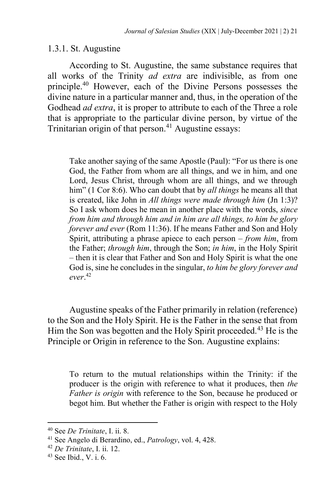## 1.3.1. St. Augustine

According to St. Augustine, the same substance requires that all works of the Trinity *ad extra* are indivisible, as from one principle.<sup>40</sup> However, each of the Divine Persons possesses the divine nature in a particular manner and, thus, in the operation of the Godhead *ad extra*, it is proper to attribute to each of the Three a role that is appropriate to the particular divine person, by virtue of the Trinitarian origin of that person.<sup>41</sup> Augustine essays:

Take another saying of the same Apostle (Paul): "For us there is one God, the Father from whom are all things, and we in him, and one Lord, Jesus Christ, through whom are all things, and we through him" (1 Cor 8:6). Who can doubt that by *all things* he means all that is created, like John in *All things were made through him* (Jn 1:3)? So I ask whom does he mean in another place with the words, *since from him and through him and in him are all things, to him be glory forever and ever* (Rom 11:36). If he means Father and Son and Holy Spirit, attributing a phrase apiece to each person – *from him*, from the Father; *through him*, through the Son; *in him*, in the Holy Spirit – then it is clear that Father and Son and Holy Spirit is what the one God is, sine he concludes in the singular, *to him be glory forever and ever*. 42

Augustine speaks of the Father primarily in relation (reference) to the Son and the Holy Spirit. He is the Father in the sense that from Him the Son was begotten and the Holy Spirit proceeded.<sup>43</sup> He is the Principle or Origin in reference to the Son. Augustine explains:

To return to the mutual relationships within the Trinity: if the producer is the origin with reference to what it produces, then *the Father is origin* with reference to the Son, because he produced or begot him. But whether the Father is origin with respect to the Holy

<sup>40</sup> See *De Trinitate*, I. ii. 8.

<sup>41</sup> See Angelo di Berardino, ed., *Patrology*, vol. 4, 428.

<sup>42</sup> *De Trinitate*, I. ii. 12.

<sup>43</sup> See Ibid., V. i. 6.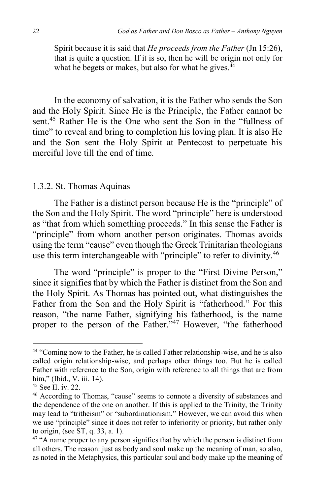Spirit because it is said that *He proceeds from the Father* (Jn 15:26), that is quite a question. If it is so, then he will be origin not only for what he begets or makes, but also for what he gives. $44$ 

In the economy of salvation, it is the Father who sends the Son and the Holy Spirit. Since He is the Principle, the Father cannot be sent.<sup>45</sup> Rather He is the One who sent the Son in the "fullness of time" to reveal and bring to completion his loving plan. It is also He and the Son sent the Holy Spirit at Pentecost to perpetuate his merciful love till the end of time.

#### 1.3.2. St. Thomas Aquinas

The Father is a distinct person because He is the "principle" of the Son and the Holy Spirit. The word "principle" here is understood as "that from which something proceeds." In this sense the Father is "principle" from whom another person originates. Thomas avoids using the term "cause" even though the Greek Trinitarian theologians use this term interchangeable with "principle" to refer to divinity.<sup>46</sup>

The word "principle" is proper to the "First Divine Person," since it signifies that by which the Father is distinct from the Son and the Holy Spirit. As Thomas has pointed out, what distinguishes the Father from the Son and the Holy Spirit is "fatherhood." For this reason, "the name Father, signifying his fatherhood, is the name proper to the person of the Father."<sup>47</sup> However, "the fatherhood

 $\ddot{\phantom{a}}$ 

<sup>44</sup> "Coming now to the Father, he is called Father relationship-wise, and he is also called origin relationship-wise, and perhaps other things too. But he is called Father with reference to the Son, origin with reference to all things that are from him," (Ibid., V. iii. 14).

<sup>45</sup> See II. iv. 22.

<sup>46</sup> According to Thomas, "cause" seems to connote a diversity of substances and the dependence of the one on another. If this is applied to the Trinity, the Trinity may lead to "tritheism" or "subordinationism." However, we can avoid this when we use "principle" since it does not refer to inferiority or priority, but rather only to origin, (see ST, q. 33, a. 1).

<sup>&</sup>lt;sup>47</sup> "A name proper to any person signifies that by which the person is distinct from all others. The reason: just as body and soul make up the meaning of man, so also, as noted in the Metaphysics, this particular soul and body make up the meaning of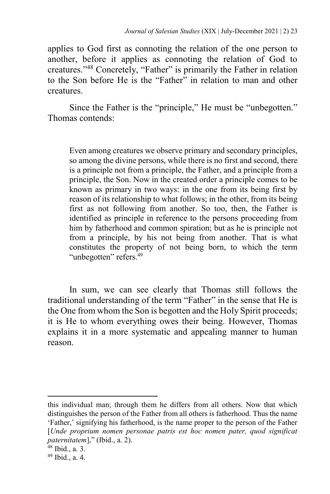applies to God first as connoting the relation of the one person to another, before it applies as connoting the relation of God to creatures."<sup>48</sup> Concretely, "Father" is primarily the Father in relation to the Son before He is the "Father" in relation to man and other creatures.

Since the Father is the "principle," He must be "unbegotten." Thomas contends:

Even among creatures we observe primary and secondary principles, so among the divine persons, while there is no first and second, there is a principle not from a principle, the Father, and a principle from a principle, the Son. Now in the created order a principle comes to be known as primary in two ways: in the one from its being first by reason of its relationship to what follows; in the other, from its being first as not following from another. So too, then, the Father is identified as principle in reference to the persons proceeding from him by fatherhood and common spiration; but as he is principle not from a principle, by his not being from another. That is what constitutes the property of not being born, to which the term "unbegotten" refers.<sup>49</sup>

In sum, we can see clearly that Thomas still follows the traditional understanding of the term "Father" in the sense that He is the One from whom the Son is begotten and the Holy Spirit proceeds; it is He to whom everything owes their being. However, Thomas explains it in a more systematic and appealing manner to human reason.

this individual man; through them he differs from all others. Now that which distinguishes the person of the Father from all others is fatherhood. Thus the name 'Father,' signifying his fatherhood, is the name proper to the person of the Father [*Unde proprium nomen personae patris est hoc nomen pater, quod significat paternitatem*]," (Ibid., a. 2).

<sup>48</sup> Ibid., a. 3.

<sup>49</sup> Ibid., a. 4.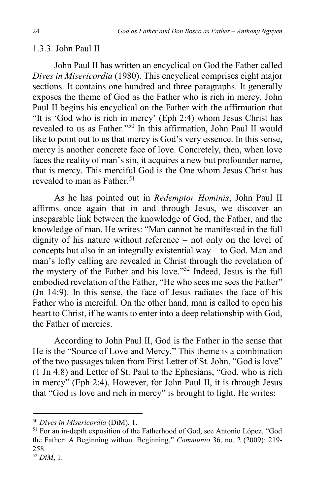# 1.3.3. John Paul II

John Paul II has written an encyclical on God the Father called *Dives in Misericordia* (1980). This encyclical comprises eight major sections. It contains one hundred and three paragraphs. It generally exposes the theme of God as the Father who is rich in mercy. John Paul II begins his encyclical on the Father with the affirmation that "It is 'God who is rich in mercy' (Eph 2:4) whom Jesus Christ has revealed to us as Father."<sup>50</sup> In this affirmation, John Paul II would like to point out to us that mercy is God's very essence. In this sense, mercy is another concrete face of love. Concretely, then, when love faces the reality of man's sin, it acquires a new but profounder name, that is mercy. This merciful God is the One whom Jesus Christ has revealed to man as Father.<sup>51</sup>

As he has pointed out in *Redemptor Hominis*, John Paul II affirms once again that in and through Jesus, we discover an inseparable link between the knowledge of God, the Father, and the knowledge of man. He writes: "Man cannot be manifested in the full dignity of his nature without reference – not only on the level of concepts but also in an integrally existential way – to God. Man and man's lofty calling are revealed in Christ through the revelation of the mystery of the Father and his love."<sup>52</sup> Indeed, Jesus is the full embodied revelation of the Father, "He who sees me sees the Father" (Jn 14:9). In this sense, the face of Jesus radiates the face of his Father who is merciful. On the other hand, man is called to open his heart to Christ, if he wants to enter into a deep relationship with God, the Father of mercies.

According to John Paul II, God is the Father in the sense that He is the "Source of Love and Mercy." This theme is a combination of the two passages taken from First Letter of St. John, "God is love" (1 Jn 4:8) and Letter of St. Paul to the Ephesians, "God, who is rich in mercy" (Eph 2:4). However, for John Paul II, it is through Jesus that "God is love and rich in mercy" is brought to light. He writes:

 $\ddot{\phantom{a}}$ 

<sup>50</sup> *Dives in Misericordia* (DiM), 1.

<sup>51</sup> For an in-depth exposition of the Fatherhood of God, see Antonio López, "God the Father: A Beginning without Beginning," *Communio* 36, no. 2 (2009): 219- 258.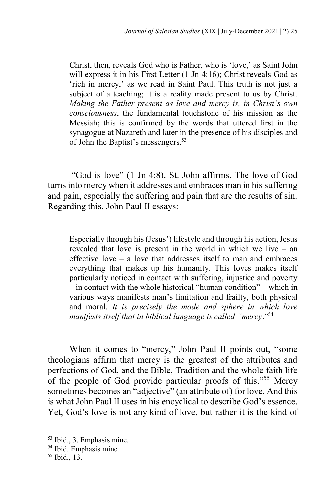Christ, then, reveals God who is Father, who is 'love,' as Saint John will express it in his First Letter (1 Jn 4:16); Christ reveals God as 'rich in mercy,' as we read in Saint Paul. This truth is not just a subject of a teaching; it is a reality made present to us by Christ. *Making the Father present as love and mercy is, in Christ's own consciousness*, the fundamental touchstone of his mission as the Messiah; this is confirmed by the words that uttered first in the synagogue at Nazareth and later in the presence of his disciples and of John the Baptist's messengers.<sup>53</sup>

"God is love" (1 Jn 4:8), St. John affirms. The love of God turns into mercy when it addresses and embraces man in his suffering and pain, especially the suffering and pain that are the results of sin. Regarding this, John Paul II essays:

Especially through his (Jesus') lifestyle and through his action, Jesus revealed that love is present in the world in which we live – an effective love – a love that addresses itself to man and embraces everything that makes up his humanity. This loves makes itself particularly noticed in contact with suffering, injustice and poverty – in contact with the whole historical "human condition" – which in various ways manifests man's limitation and frailty, both physical and moral. *It is precisely the mode and sphere in which love manifests itself that in biblical language is called "mercy*."<sup>54</sup>

When it comes to "mercy," John Paul II points out, "some theologians affirm that mercy is the greatest of the attributes and perfections of God, and the Bible, Tradition and the whole faith life of the people of God provide particular proofs of this."<sup>55</sup> Mercy sometimes becomes an "adjective" (an attribute of) for love. And this is what John Paul II uses in his encyclical to describe God's essence. Yet, God's love is not any kind of love, but rather it is the kind of

<sup>53</sup> Ibid., 3. Emphasis mine.

<sup>54</sup> Ibid. Emphasis mine.

<sup>55</sup> Ibid., 13.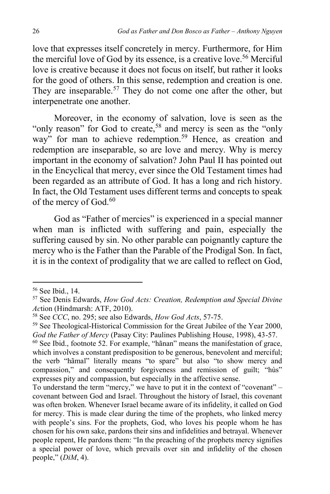love that expresses itself concretely in mercy. Furthermore, for Him the merciful love of God by its essence, is a creative love.<sup>56</sup> Merciful love is creative because it does not focus on itself, but rather it looks for the good of others. In this sense, redemption and creation is one. They are inseparable.<sup>57</sup> They do not come one after the other, but interpenetrate one another.

Moreover, in the economy of salvation, love is seen as the "only reason" for God to create,<sup>58</sup> and mercy is seen as the "only way" for man to achieve redemption.<sup>59</sup> Hence, as creation and redemption are inseparable, so are love and mercy. Why is mercy important in the economy of salvation? John Paul II has pointed out in the Encyclical that mercy, ever since the Old Testament times had been regarded as an attribute of God. It has a long and rich history. In fact, the Old Testament uses different terms and concepts to speak of the mercy of God.<sup>60</sup>

God as "Father of mercies" is experienced in a special manner when man is inflicted with suffering and pain, especially the suffering caused by sin. No other parable can poignantly capture the mercy who is the Father than the Parable of the Prodigal Son. In fact, it is in the context of prodigality that we are called to reflect on God,

<sup>56</sup> See Ibid., 14.

<sup>57</sup> See Denis Edwards, *How God Acts: Creation, Redemption and Special Divine Ac*tion (Hindmarsh: ATF, 2010).

<sup>58</sup> See *CCC*, no. 295; see also Edwards, *How God Acts*, 57-75.

<sup>&</sup>lt;sup>59</sup> See Theological-Historical Commission for the Great Jubilee of the Year 2000, *God the Father of Mercy* (Pasay City: Paulines Publishing House, 1998), 43-57.

<sup>60</sup> See Ibid., footnote 52. For example, "hãnan" means the manifestation of grace, which involves a constant predisposition to be generous, benevolent and merciful; the verb "hãmal" literally means "to spare" but also "to show mercy and compassion," and consequently forgiveness and remission of guilt; "hùs" expresses pity and compassion, but especially in the affective sense.

To understand the term "mercy," we have to put it in the context of "covenant" – covenant between God and Israel. Throughout the history of Israel, this covenant was often broken. Whenever Israel became aware of its infidelity, it called on God for mercy. This is made clear during the time of the prophets, who linked mercy with people's sins. For the prophets, God, who loves his people whom he has chosen for his own sake, pardons their sins and infidelities and betrayal. Whenever people repent, He pardons them: "In the preaching of the prophets mercy signifies a special power of love, which prevails over sin and infidelity of the chosen people," (*DiM*, 4).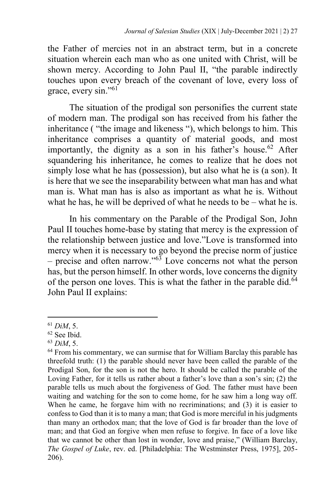the Father of mercies not in an abstract term, but in a concrete situation wherein each man who as one united with Christ, will be shown mercy. According to John Paul II, "the parable indirectly touches upon every breach of the covenant of love, every loss of grace, every sin."<sup>61</sup>

The situation of the prodigal son personifies the current state of modern man. The prodigal son has received from his father the inheritance ( "the image and likeness "), which belongs to him. This inheritance comprises a quantity of material goods, and most importantly, the dignity as a son in his father's house.<sup>62</sup> After squandering his inheritance, he comes to realize that he does not simply lose what he has (possession), but also what he is (a son). It is here that we see the inseparability between what man has and what man is. What man has is also as important as what he is. Without what he has, he will be deprived of what he needs to be – what he is.

In his commentary on the Parable of the Prodigal Son, John Paul II touches home-base by stating that mercy is the expression of the relationship between justice and love."Love is transformed into mercy when it is necessary to go beyond the precise norm of justice – precise and often narrow." $63$  Love concerns not what the person has, but the person himself. In other words, love concerns the dignity of the person one loves. This is what the father in the parable did.<sup>64</sup> John Paul II explains:

<sup>61</sup> *DiM*, 5.

<sup>62</sup> See Ibid.

<sup>63</sup> *DiM*, 5.

 $64$  From his commentary, we can surmise that for William Barclay this parable has threefold truth: (1) the parable should never have been called the parable of the Prodigal Son, for the son is not the hero. It should be called the parable of the Loving Father, for it tells us rather about a father's love than a son's sin; (2) the parable tells us much about the forgiveness of God. The father must have been waiting and watching for the son to come home, for he saw him a long way off. When he came, he forgave him with no recriminations; and (3) it is easier to confess to God than it is to many a man; that God is more merciful in his judgments than many an orthodox man; that the love of God is far broader than the love of man; and that God an forgive when men refuse to forgive. In face of a love like that we cannot be other than lost in wonder, love and praise," (William Barclay, *The Gospel of Luke*, rev. ed. [Philadelphia: The Westminster Press, 1975], 205- 206).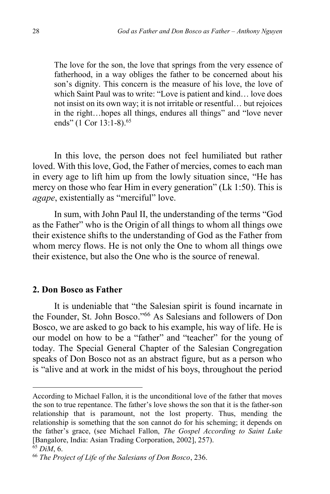The love for the son, the love that springs from the very essence of fatherhood, in a way obliges the father to be concerned about his son's dignity. This concern is the measure of his love, the love of which Saint Paul was to write: "Love is patient and kind… love does not insist on its own way; it is not irritable or resentful… but rejoices in the right…hopes all things, endures all things" and "love never ends" (1 Cor 13:1-8).<sup>65</sup>

In this love, the person does not feel humiliated but rather loved. With this love, God, the Father of mercies, comes to each man in every age to lift him up from the lowly situation since, "He has mercy on those who fear Him in every generation" (Lk 1:50). This is *agape*, existentially as "merciful" love.

In sum, with John Paul II, the understanding of the terms "God as the Father" who is the Origin of all things to whom all things owe their existence shifts to the understanding of God as the Father from whom mercy flows. He is not only the One to whom all things owe their existence, but also the One who is the source of renewal.

# **2. Don Bosco as Father**

It is undeniable that "the Salesian spirit is found incarnate in the Founder, St. John Bosco."<sup>66</sup> As Salesians and followers of Don Bosco, we are asked to go back to his example, his way of life. He is our model on how to be a "father" and "teacher" for the young of today. The Special General Chapter of the Salesian Congregation speaks of Don Bosco not as an abstract figure, but as a person who is "alive and at work in the midst of his boys, throughout the period

 $\ddot{\phantom{a}}$ 

According to Michael Fallon, it is the unconditional love of the father that moves the son to true repentance. The father's love shows the son that it is the father-son relationship that is paramount, not the lost property. Thus, mending the relationship is something that the son cannot do for his scheming; it depends on the father's grace, (see Michael Fallon, *The Gospel According to Saint Luke* [Bangalore, India: Asian Trading Corporation, 2002], 257).

<sup>65</sup> *DiM*, 6.

<sup>66</sup> *The Project of Life of the Salesians of Don Bosco*, 236.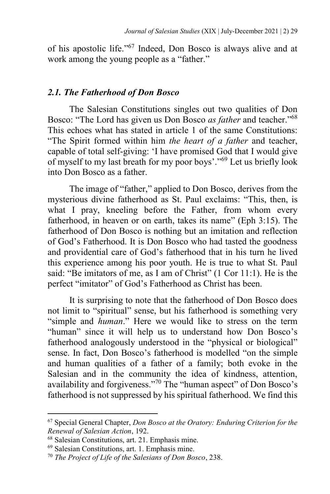of his apostolic life."<sup>67</sup> Indeed, Don Bosco is always alive and at work among the young people as a "father."

# *2.1. The Fatherhood of Don Bosco*

The Salesian Constitutions singles out two qualities of Don Bosco: "The Lord has given us Don Bosco *as father* and teacher."<sup>68</sup> This echoes what has stated in article 1 of the same Constitutions: "The Spirit formed within him *the heart of a father* and teacher, capable of total self-giving: 'I have promised God that I would give of myself to my last breath for my poor boys'."<sup>69</sup> Let us briefly look into Don Bosco as a father.

The image of "father," applied to Don Bosco, derives from the mysterious divine fatherhood as St. Paul exclaims: "This, then, is what I pray, kneeling before the Father, from whom every fatherhood, in heaven or on earth, takes its name" (Eph 3:15). The fatherhood of Don Bosco is nothing but an imitation and reflection of God's Fatherhood. It is Don Bosco who had tasted the goodness and providential care of God's fatherhood that in his turn he lived this experience among his poor youth. He is true to what St. Paul said: "Be imitators of me, as I am of Christ" (1 Cor 11:1). He is the perfect "imitator" of God's Fatherhood as Christ has been.

It is surprising to note that the fatherhood of Don Bosco does not limit to "spiritual" sense, but his fatherhood is something very "simple and *human*." Here we would like to stress on the term "human" since it will help us to understand how Don Bosco's fatherhood analogously understood in the "physical or biological" sense. In fact, Don Bosco's fatherhood is modelled "on the simple and human qualities of a father of a family; both evoke in the Salesian and in the community the idea of kindness, attention, availability and forgiveness."<sup>70</sup> The "human aspect" of Don Bosco's fatherhood is not suppressed by his spiritual fatherhood. We find this

 $\ddot{\phantom{a}}$ 

<sup>67</sup> Special General Chapter, *Don Bosco at the Oratory: Enduring Criterion for the Renewal of Salesian Action*, 192.

<sup>68</sup> Salesian Constitutions, art. 21. Emphasis mine.

<sup>69</sup> Salesian Constitutions, art. 1. Emphasis mine.

<sup>70</sup> *The Project of Life of the Salesians of Don Bosco*, 238.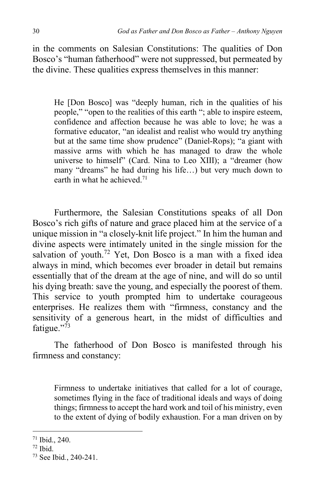in the comments on Salesian Constitutions: The qualities of Don Bosco's "human fatherhood" were not suppressed, but permeated by the divine. These qualities express themselves in this manner:

He [Don Bosco] was "deeply human, rich in the qualities of his people," "open to the realities of this earth "; able to inspire esteem, confidence and affection because he was able to love; he was a formative educator, "an idealist and realist who would try anything but at the same time show prudence" (Daniel-Rops); "a giant with massive arms with which he has managed to draw the whole universe to himself" (Card. Nina to Leo XIII); a "dreamer (how many "dreams" he had during his life…) but very much down to earth in what he achieved.<sup>71</sup>

Furthermore, the Salesian Constitutions speaks of all Don Bosco's rich gifts of nature and grace placed him at the service of a unique mission in "a closely-knit life project." In him the human and divine aspects were intimately united in the single mission for the salvation of youth.<sup>72</sup> Yet, Don Bosco is a man with a fixed idea always in mind, which becomes ever broader in detail but remains essentially that of the dream at the age of nine, and will do so until his dying breath: save the young, and especially the poorest of them. This service to youth prompted him to undertake courageous enterprises. He realizes them with "firmness, constancy and the sensitivity of a generous heart, in the midst of difficulties and fatigue." $^{73}$ 

The fatherhood of Don Bosco is manifested through his firmness and constancy:

Firmness to undertake initiatives that called for a lot of courage, sometimes flying in the face of traditional ideals and ways of doing things; firmness to accept the hard work and toil of his ministry, even to the extent of dying of bodily exhaustion. For a man driven on by

<sup>71</sup> Ibid., 240.

 $72$  Ibid.

<sup>73</sup> See Ibid*.*, 240-241.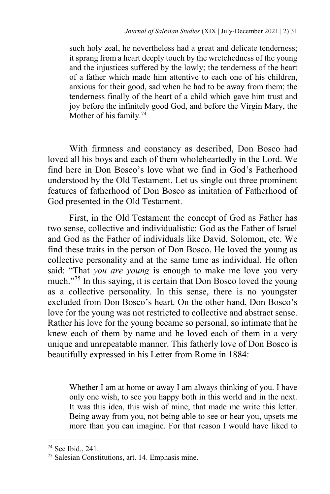such holy zeal, he nevertheless had a great and delicate tenderness; it sprang from a heart deeply touch by the wretchedness of the young and the injustices suffered by the lowly; the tenderness of the heart of a father which made him attentive to each one of his children, anxious for their good, sad when he had to be away from them; the tenderness finally of the heart of a child which gave him trust and joy before the infinitely good God, and before the Virgin Mary, the Mother of his family.<sup>74</sup>

With firmness and constancy as described, Don Bosco had loved all his boys and each of them wholeheartedly in the Lord. We find here in Don Bosco's love what we find in God's Fatherhood understood by the Old Testament. Let us single out three prominent features of fatherhood of Don Bosco as imitation of Fatherhood of God presented in the Old Testament.

First, in the Old Testament the concept of God as Father has two sense, collective and individualistic: God as the Father of Israel and God as the Father of individuals like David, Solomon, etc. We find these traits in the person of Don Bosco. He loved the young as collective personality and at the same time as individual. He often said: "That *you are young* is enough to make me love you very much."<sup>75</sup> In this saying, it is certain that Don Bosco loved the young as a collective personality. In this sense, there is no youngster excluded from Don Bosco's heart. On the other hand, Don Bosco's love for the young was not restricted to collective and abstract sense. Rather his love for the young became so personal, so intimate that he knew each of them by name and he loved each of them in a very unique and unrepeatable manner. This fatherly love of Don Bosco is beautifully expressed in his Letter from Rome in 1884:

Whether I am at home or away I am always thinking of you. I have only one wish, to see you happy both in this world and in the next. It was this idea, this wish of mine, that made me write this letter. Being away from you, not being able to see or hear you, upsets me more than you can imagine. For that reason I would have liked to

 $\ddot{\phantom{a}}$ 

<sup>74</sup> See Ibid., 241.

<sup>75</sup> Salesian Constitutions, art. 14. Emphasis mine.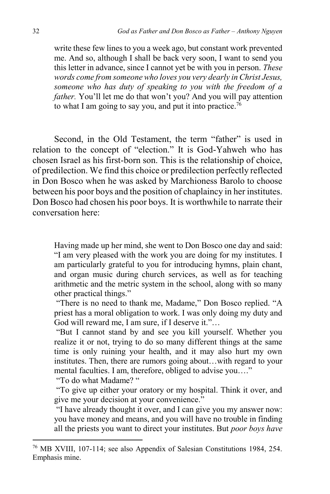write these few lines to you a week ago, but constant work prevented me. And so, although I shall be back very soon, I want to send you this letter in advance, since I cannot yet be with you in person. *These words come from someone who loves you very dearly in Christ Jesus, someone who has duty of speaking to you with the freedom of a father.* You'll let me do that won't you? And you will pay attention to what I am going to say you, and put it into practice.<sup>76</sup>

Second, in the Old Testament, the term "father" is used in relation to the concept of "election." It is God-Yahweh who has chosen Israel as his first-born son. This is the relationship of choice, of predilection. We find this choice or predilection perfectly reflected in Don Bosco when he was asked by Marchioness Barolo to choose between his poor boys and the position of chaplaincy in her institutes. Don Bosco had chosen his poor boys. It is worthwhile to narrate their conversation here:

Having made up her mind, she went to Don Bosco one day and said: "I am very pleased with the work you are doing for my institutes. I am particularly grateful to you for introducing hymns, plain chant, and organ music during church services, as well as for teaching arithmetic and the metric system in the school, along with so many other practical things."

"There is no need to thank me, Madame," Don Bosco replied. "A priest has a moral obligation to work. I was only doing my duty and God will reward me, I am sure, if I deserve it."…

"But I cannot stand by and see you kill yourself. Whether you realize it or not, trying to do so many different things at the same time is only ruining your health, and it may also hurt my own institutes. Then, there are rumors going about…with regard to your mental faculties. I am, therefore, obliged to advise you…."

"To do what Madame? "

 $\ddot{\phantom{a}}$ 

"To give up either your oratory or my hospital. Think it over, and give me your decision at your convenience."

"I have already thought it over, and I can give you my answer now: you have money and means, and you will have no trouble in finding all the priests you want to direct your institutes. But *poor boys have* 

<sup>76</sup> MB XVIII, 107-114; see also Appendix of Salesian Constitutions 1984, 254. Emphasis mine.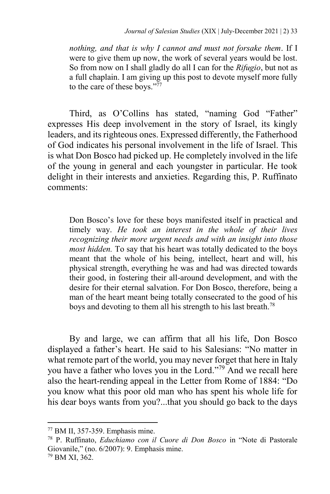*nothing, and that is why I cannot and must not forsake them*. If I were to give them up now, the work of several years would be lost. So from now on I shall gladly do all I can for the *Rifugio*, but not as a full chaplain. I am giving up this post to devote myself more fully to the care of these boys." $\frac{77}{77}$ 

Third, as O'Collins has stated, "naming God "Father" expresses His deep involvement in the story of Israel, its kingly leaders, and its righteous ones. Expressed differently, the Fatherhood of God indicates his personal involvement in the life of Israel. This is what Don Bosco had picked up. He completely involved in the life of the young in general and each youngster in particular. He took delight in their interests and anxieties. Regarding this, P. Ruffinato comments:

Don Bosco's love for these boys manifested itself in practical and timely way. *He took an interest in the whole of their lives recognizing their more urgent needs and with an insight into those most hidden.* To say that his heart was totally dedicated to the boys meant that the whole of his being, intellect, heart and will, his physical strength, everything he was and had was directed towards their good, in fostering their all-around development, and with the desire for their eternal salvation. For Don Bosco, therefore, being a man of the heart meant being totally consecrated to the good of his boys and devoting to them all his strength to his last breath.<sup>78</sup>

By and large, we can affirm that all his life, Don Bosco displayed a father's heart. He said to his Salesians: "No matter in what remote part of the world, you may never forget that here in Italy you have a father who loves you in the Lord."<sup>79</sup> And we recall here also the heart-rending appeal in the Letter from Rome of 1884: "Do you know what this poor old man who has spent his whole life for his dear boys wants from you?...that you should go back to the days

<sup>77</sup> BM II, 357-359. Emphasis mine.

<sup>78</sup> P. Ruffinato, *Educhiamo con il Cuore di Don Bosco* in "Note di Pastorale Giovanile," (no. 6/2007): 9. Emphasis mine.

<sup>79</sup> BM XI, 362.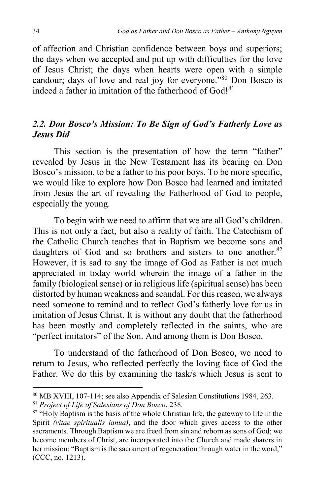of affection and Christian confidence between boys and superiors; the days when we accepted and put up with difficulties for the love of Jesus Christ; the days when hearts were open with a simple candour; days of love and real joy for everyone."<sup>80</sup> Don Bosco is indeed a father in imitation of the fatherhood of  $God!<sup>81</sup>$ 

# *2.2. Don Bosco's Mission: To Be Sign of God's Fatherly Love as Jesus Did*

This section is the presentation of how the term "father" revealed by Jesus in the New Testament has its bearing on Don Bosco's mission, to be a father to his poor boys. To be more specific, we would like to explore how Don Bosco had learned and imitated from Jesus the art of revealing the Fatherhood of God to people, especially the young.

To begin with we need to affirm that we are all God's children. This is not only a fact, but also a reality of faith. The Catechism of the Catholic Church teaches that in Baptism we become sons and daughters of God and so brothers and sisters to one another.<sup>82</sup> However, it is sad to say the image of God as Father is not much appreciated in today world wherein the image of a father in the family (biological sense) or in religious life (spiritual sense) has been distorted by human weakness and scandal. For this reason, we always need someone to remind and to reflect God's fatherly love for us in imitation of Jesus Christ. It is without any doubt that the fatherhood has been mostly and completely reflected in the saints, who are "perfect imitators" of the Son. And among them is Don Bosco.

To understand of the fatherhood of Don Bosco, we need to return to Jesus, who reflected perfectly the loving face of God the Father. We do this by examining the task/s which Jesus is sent to

<sup>80</sup> MB XVIII, 107-114; see also Appendix of Salesian Constitutions 1984, 263. <sup>81</sup> *Project of Life of Salesians of Don Bosco*, 238.

 $82$  "Holy Baptism is the basis of the whole Christian life, the gateway to life in the Spirit *(vitae spiritualis ianua)*, and the door which gives access to the other sacraments. Through Baptism we are freed from sin and reborn as sons of God; we become members of Christ, are incorporated into the Church and made sharers in her mission: "Baptism is the sacrament of regeneration through water in the word," (CCC, no. 1213).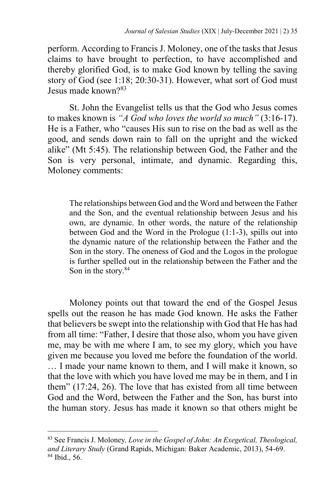perform. According to Francis J. Moloney, one of the tasks that Jesus claims to have brought to perfection, to have accomplished and thereby glorified God, is to make God known by telling the saving story of God (see 1:18; 20:30-31). However, what sort of God must Jesus made known?<sup>83</sup>

St. John the Evangelist tells us that the God who Jesus comes to makes known is *"A God who loves the world so much"* (3:16-17). He is a Father, who "causes His sun to rise on the bad as well as the good, and sends down rain to fall on the upright and the wicked alike" (Mt 5:45). The relationship between God, the Father and the Son is very personal, intimate, and dynamic. Regarding this, Moloney comments:

The relationships between God and the Word and between the Father and the Son, and the eventual relationship between Jesus and his own, are dynamic. In other words, the nature of the relationship between God and the Word in the Prologue (1:1-3), spills out into the dynamic nature of the relationship between the Father and the Son in the story. The oneness of God and the Logos in the prologue is further spelled out in the relationship between the Father and the Son in the story.<sup>84</sup>

Moloney points out that toward the end of the Gospel Jesus spells out the reason he has made God known. He asks the Father that believers be swept into the relationship with God that He has had from all time: "Father, I desire that those also, whom you have given me, may be with me where I am, to see my glory, which you have given me because you loved me before the foundation of the world. … I made your name known to them, and I will make it known, so that the love with which you have loved me may be in them, and I in them" (17:24, 26). The love that has existed from all time between God and the Word, between the Father and the Son, has burst into the human story. Jesus has made it known so that others might be

<sup>83</sup> See Francis J. Moloney*, Love in the Gospel of John: An Exegetical, Theological, and Literary Study* (Grand Rapids, Michigan: Baker Academic, 2013), 54-69. <sup>84</sup> Ibid., 56.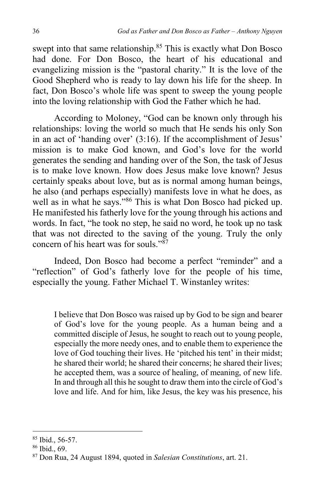swept into that same relationship.<sup>85</sup> This is exactly what Don Bosco had done. For Don Bosco, the heart of his educational and evangelizing mission is the "pastoral charity." It is the love of the Good Shepherd who is ready to lay down his life for the sheep. In fact, Don Bosco's whole life was spent to sweep the young people into the loving relationship with God the Father which he had.

According to Moloney, "God can be known only through his relationships: loving the world so much that He sends his only Son in an act of 'handing over' (3:16). If the accomplishment of Jesus' mission is to make God known, and God's love for the world generates the sending and handing over of the Son, the task of Jesus is to make love known. How does Jesus make love known? Jesus certainly speaks about love, but as is normal among human beings, he also (and perhaps especially) manifests love in what he does, as well as in what he says."<sup>86</sup> This is what Don Bosco had picked up. He manifested his fatherly love for the young through his actions and words. In fact, "he took no step, he said no word, he took up no task that was not directed to the saving of the young. Truly the only concern of his heart was for souls." $87$ 

Indeed, Don Bosco had become a perfect "reminder" and a "reflection" of God's fatherly love for the people of his time, especially the young. Father Michael T. Winstanley writes:

I believe that Don Bosco was raised up by God to be sign and bearer of God's love for the young people. As a human being and a committed disciple of Jesus, he sought to reach out to young people, especially the more needy ones, and to enable them to experience the love of God touching their lives. He 'pitched his tent' in their midst; he shared their world; he shared their concerns; he shared their lives; he accepted them, was a source of healing, of meaning, of new life. In and through all this he sought to draw them into the circle of God's love and life. And for him, like Jesus, the key was his presence, his

<sup>85</sup> Ibid., 56-57.

<sup>86</sup> Ibid., 69.

<sup>87</sup> Don Rua, 24 August 1894, quoted in *Salesian Constitutions*, art. 21.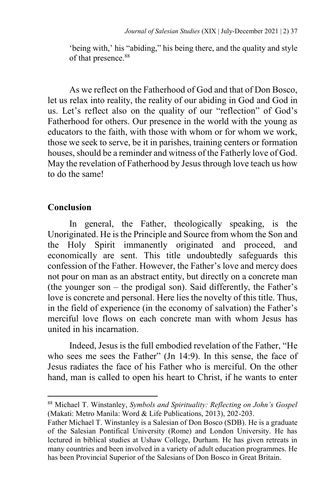'being with,' his "abiding," his being there, and the quality and style of that presence.<sup>88</sup>

As we reflect on the Fatherhood of God and that of Don Bosco, let us relax into reality, the reality of our abiding in God and God in us. Let's reflect also on the quality of our "reflection" of God's Fatherhood for others. Our presence in the world with the young as educators to the faith, with those with whom or for whom we work, those we seek to serve, be it in parishes, training centers or formation houses, should be a reminder and witness of the Fatherly love of God. May the revelation of Fatherhood by Jesus through love teach us how to do the same!

# **Conclusion**

1

In general, the Father, theologically speaking, is the Unoriginated. He is the Principle and Source from whom the Son and the Holy Spirit immanently originated and proceed, and economically are sent. This title undoubtedly safeguards this confession of the Father. However, the Father's love and mercy does not pour on man as an abstract entity, but directly on a concrete man (the younger son – the prodigal son). Said differently, the Father's love is concrete and personal. Here lies the novelty of this title. Thus, in the field of experience (in the economy of salvation) the Father's merciful love flows on each concrete man with whom Jesus has united in his incarnation.

Indeed, Jesus is the full embodied revelation of the Father, "He who sees me sees the Father" (Jn 14:9). In this sense, the face of Jesus radiates the face of his Father who is merciful. On the other hand, man is called to open his heart to Christ, if he wants to enter

<sup>88</sup> Michael T. Winstanley, *Symbols and Spirituality: Reflecting on John's Gospel* (Makati: Metro Manila: Word & Life Publications, 2013), 202-203.

Father Michael T. Winstanley is a Salesian of Don Bosco (SDB). He is a graduate of the Salesian Pontifical University (Rome) and London University. He has lectured in biblical studies at Ushaw College, Durham. He has given retreats in many countries and been involved in a variety of adult education programmes. He has been Provincial Superior of the Salesians of Don Bosco in Great Britain.